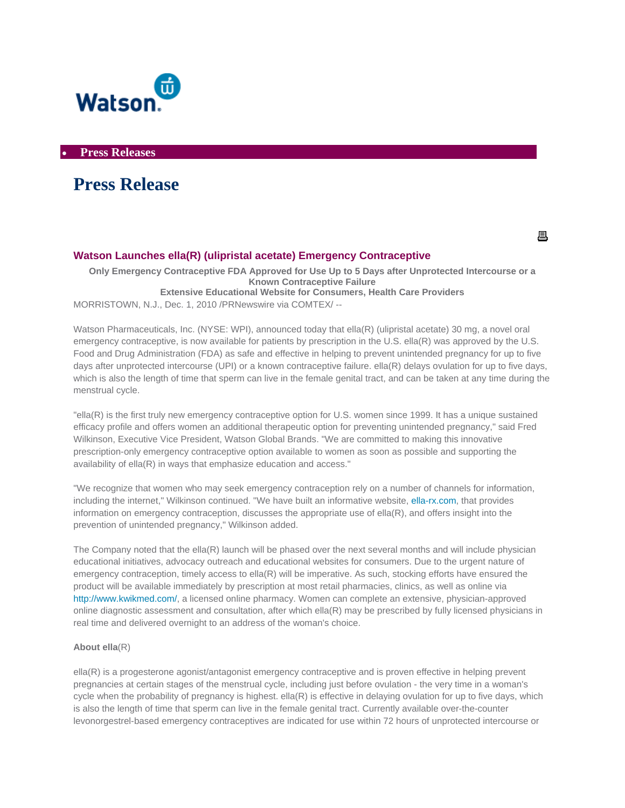

• **Press Releases** 

# **Press Release**

具

## **Watson Launches ella(R) (ulipristal acetate) Emergency Contraceptive**

**Only Emergency Contraceptive FDA Approved for Use Up to 5 Days after Unprotected Intercourse or a Known Contraceptive Failure Extensive Educational Website for Consumers, Health Care Providers** 

MORRISTOWN, N.J., Dec. 1, 2010 /PRNewswire via COMTEX/ --

Watson Pharmaceuticals, Inc. (NYSE: WPI), announced today that ella(R) (ulipristal acetate) 30 mg, a novel oral emergency contraceptive, is now available for patients by prescription in the U.S. ella(R) was approved by the U.S. Food and Drug Administration (FDA) as safe and effective in helping to prevent unintended pregnancy for up to five days after unprotected intercourse (UPI) or a known contraceptive failure. ella(R) delays ovulation for up to five days, which is also the length of time that sperm can live in the female genital tract, and can be taken at any time during the menstrual cycle.

"ella(R) is the first truly new emergency contraceptive option for U.S. women since 1999. It has a unique sustained efficacy profile and offers women an additional therapeutic option for preventing unintended pregnancy," said Fred Wilkinson, Executive Vice President, Watson Global Brands. "We are committed to making this innovative prescription-only emergency contraceptive option available to women as soon as possible and supporting the availability of ella(R) in ways that emphasize education and access."

"We recognize that women who may seek emergency contraception rely on a number of channels for information, including the internet," Wilkinson continued. "We have built an informative website, [ella-rx.com](http://www.ella-rx.com/), that provides information on emergency contraception, discusses the appropriate use of ella(R), and offers insight into the prevention of unintended pregnancy," Wilkinson added.

The Company noted that the ella(R) launch will be phased over the next several months and will include physician educational initiatives, advocacy outreach and educational websites for consumers. Due to the urgent nature of emergency contraception, timely access to ella(R) will be imperative. As such, stocking efforts have ensured the product will be available immediately by prescription at most retail pharmacies, clinics, as well as online via <http://www.kwikmed.com/>, a licensed online pharmacy. Women can complete an extensive, physician-approved online diagnostic assessment and consultation, after which ella(R) may be prescribed by fully licensed physicians in real time and delivered overnight to an address of the woman's choice.

### **About ella**(R)

ella(R) is a progesterone agonist/antagonist emergency contraceptive and is proven effective in helping prevent pregnancies at certain stages of the menstrual cycle, including just before ovulation - the very time in a woman's cycle when the probability of pregnancy is highest.  $ell(R)$  is effective in delaying ovulation for up to five days, which is also the length of time that sperm can live in the female genital tract. Currently available over-the-counter levonorgestrel-based emergency contraceptives are indicated for use within 72 hours of unprotected intercourse or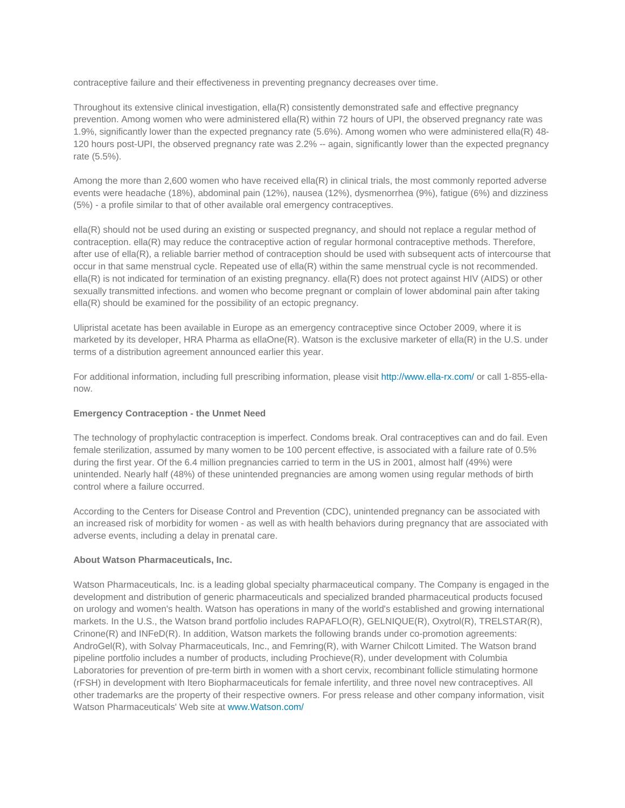contraceptive failure and their effectiveness in preventing pregnancy decreases over time.

Throughout its extensive clinical investigation, ella(R) consistently demonstrated safe and effective pregnancy prevention. Among women who were administered ella(R) within 72 hours of UPI, the observed pregnancy rate was 1.9%, significantly lower than the expected pregnancy rate (5.6%). Among women who were administered ella(R) 48- 120 hours post-UPI, the observed pregnancy rate was 2.2% -- again, significantly lower than the expected pregnancy rate (5.5%).

Among the more than 2,600 women who have received ella(R) in clinical trials, the most commonly reported adverse events were headache (18%), abdominal pain (12%), nausea (12%), dysmenorrhea (9%), fatigue (6%) and dizziness (5%) - a profile similar to that of other available oral emergency contraceptives.

ella(R) should not be used during an existing or suspected pregnancy, and should not replace a regular method of contraception. ella(R) may reduce the contraceptive action of regular hormonal contraceptive methods. Therefore, after use of ella(R), a reliable barrier method of contraception should be used with subsequent acts of intercourse that occur in that same menstrual cycle. Repeated use of ella(R) within the same menstrual cycle is not recommended. ella(R) is not indicated for termination of an existing pregnancy. ella(R) does not protect against HIV (AIDS) or other sexually transmitted infections. and women who become pregnant or complain of lower abdominal pain after taking ella(R) should be examined for the possibility of an ectopic pregnancy.

Ulipristal acetate has been available in Europe as an emergency contraceptive since October 2009, where it is marketed by its developer, HRA Pharma as ellaOne(R). Watson is the exclusive marketer of ella(R) in the U.S. under terms of a distribution agreement announced earlier this year.

For additional information, including full prescribing information, please visit <http://www.ella-rx.com/>or call 1-855-ellanow.

#### **Emergency Contraception - the Unmet Need**

The technology of prophylactic contraception is imperfect. Condoms break. Oral contraceptives can and do fail. Even female sterilization, assumed by many women to be 100 percent effective, is associated with a failure rate of 0.5% during the first year. Of the 6.4 million pregnancies carried to term in the US in 2001, almost half (49%) were unintended. Nearly half (48%) of these unintended pregnancies are among women using regular methods of birth control where a failure occurred.

According to the Centers for Disease Control and Prevention (CDC), unintended pregnancy can be associated with an increased risk of morbidity for women - as well as with health behaviors during pregnancy that are associated with adverse events, including a delay in prenatal care.

#### **About Watson Pharmaceuticals, Inc.**

Watson Pharmaceuticals, Inc. is a leading global specialty pharmaceutical company. The Company is engaged in the development and distribution of generic pharmaceuticals and specialized branded pharmaceutical products focused on urology and women's health. Watson has operations in many of the world's established and growing international markets. In the U.S., the Watson brand portfolio includes RAPAFLO(R), GELNIQUE(R), Oxytrol(R), TRELSTAR(R), Crinone(R) and INFeD(R). In addition, Watson markets the following brands under co-promotion agreements: AndroGel(R), with Solvay Pharmaceuticals, Inc., and Femring(R), with Warner Chilcott Limited. The Watson brand pipeline portfolio includes a number of products, including Prochieve(R), under development with Columbia Laboratories for prevention of pre-term birth in women with a short cervix, recombinant follicle stimulating hormone (rFSH) in development with Itero Biopharmaceuticals for female infertility, and three novel new contraceptives. All other trademarks are the property of their respective owners. For press release and other company information, visit Watson Pharmaceuticals' Web site at [www.Watson.com/](http://www.watson.com/)